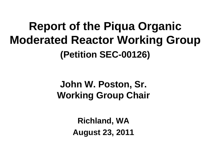#### **Report of the Piqua Organic Moderated Reactor Working Group (Petition SEC-00126)**

#### **John W. Poston, Sr. Working Group Chair**

**Richland, WA August 23, 2011**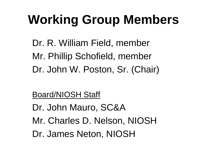# **Working Group Members**

Dr. R. William Field, member Mr. Phillip Schofield, member Dr. John W. Poston, Sr. (Chair)

#### Board/NIOSH Staff

Dr. John Mauro, SC&A Mr. Charles D. Nelson, NIOSH Dr. James Neton, NIOSH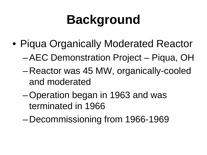# **Background**

- Piqua Organically Moderated Reactor
	- –AEC Demonstration Project Piqua, OH
	- Reactor was 45 MW, organically-cooled and moderated
	- –Operation began in 1963 and was terminated in 1966
	- Decommissioning from 1966-1969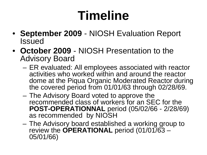# **Timeline**

- **September 2009** NIOSH Evaluation Report Issued
- **October 2009** NIOSH Presentation to the Advisory Board
	- ER evaluated: All employees associated with reactor activities who worked within and around the reactor dome at the Piqua Organic Moderated Reactor during the covered period from 01/01/63 through 02/28/69.
	- The Advisory Board voted to approve the recommended class of workers for an SEC for the **POST-OPERATIONNAL** period (05/02/66 - 2/28/69) as recommended by NIOSH
	- The Advisory board established a working group to review the **OPERATIONAL** period (01/01/63 – 05/01/66)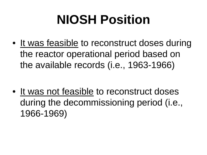# **NIOSH Position**

• It was feasible to reconstruct doses during the reactor operational period based on the available records (i.e., 1963-1966)

• It was not feasible to reconstruct doses during the decommissioning period (i.e., 1966-1969)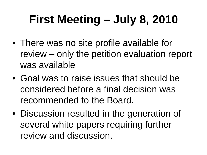# **First Meeting – July 8, 2010**

- There was no site profile available for review – only the petition evaluation report was available
- Goal was to raise issues that should be considered before a final decision was recommended to the Board.
- Discussion resulted in the generation of several white papers requiring further review and discussion.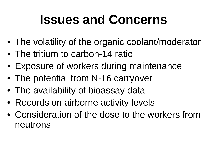# **Issues and Concerns**

- The volatility of the organic coolant/moderator
- The tritium to carbon-14 ratio
- Exposure of workers during maintenance
- The potential from N-16 carryover
- The availability of bioassay data
- Records on airborne activity levels
- Consideration of the dose to the workers from neutrons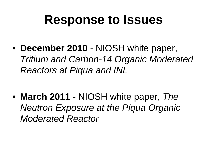#### **Response to Issues**

• **December 2010** - NIOSH white paper, *Tritium and Carbon-14 Organic Moderated Reactors at Piqua and INL*

• **March 2011** - NIOSH white paper, *The Neutron Exposure at the Piqua Organic Moderated Reactor*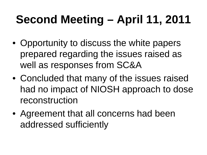# **Second Meeting – April 11, 2011**

- Opportunity to discuss the white papers prepared regarding the issues raised as well as responses from SC&A
- Concluded that many of the issues raised had no impact of NIOSH approach to dose reconstruction
- Agreement that all concerns had been addressed sufficiently